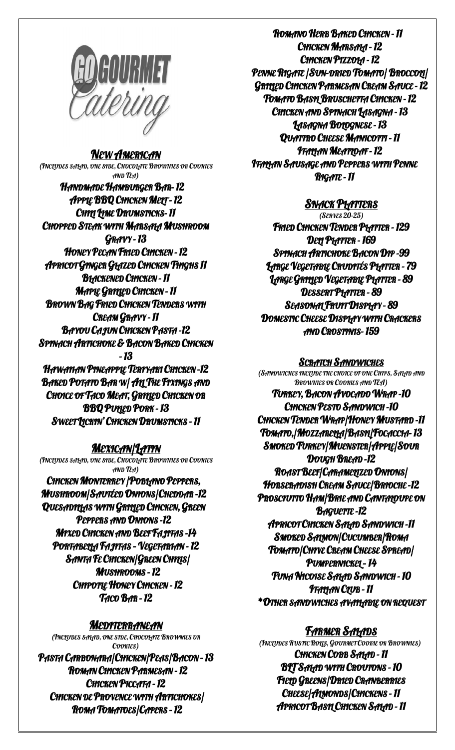

NEW AMERICAN (INCLUDES SALAD, ONE SIDE, CHOCOLATE BROWNIES OR COOKIES AND TEA)

HANDMADE HAMBURGER BAR- 12 **APPLE BBQ CHICKEN MELT - 12** CHILI LIME DRUMSTICKS-11 CHOPPED STEAK WITH MARSALA MUSHROOM GRAVY - 13 HONEY PECAN FRIED CHICKEN - 12 APRICOT GINGER GLAZED CHICKEN THIGHS 11 **BLACKENED CHICKEN - 11 MAPLE GRILLED CHICKEN - 11** BROWN BAG FRIED CHICKEN TENDERS WITH CREAM GRAVY - 11 **BAYOU CAJUN CHICKEN PASTA -12** SPINACH ARTICHOKE & BACON BAKED CHICKEN - 13 **HAWAIIAN PINEAPPLE TERIYAKI CHICKEN -12 BAKED POTATO BAR W/ ALL THE FIXINGS AND** CHOICE OF TACO MEAT, GRILLED CHICKEN OR

**BBQ PULLED PORK - 13** SWEET LICKIN' CHICKEN DRUMSTICKS - 11

# <u>MEXICAN/LATIN</u>

(INCLUDES SALAD, ONE SIDE, CHOCOLATE BROWNIES OR COOKIES AND TEA)

CHICKEN MONTERREY /POBLANO PEPPERS, MUSHROOM/SAUTÉED ONIONS/CHEDDAR -12 QUESADILLAS WITH GRILLED CHICKEN, GREEN PEPPERS AND ONIONS -12 **MIXED CHICKEN AND BEEF FAJITAS -14** PORTABELLA FAJITAS – VEGETARIAN - 12 SANTA FE CHICKEN/GREEN CHILIS/ MUSHROOMS - 12 CHIPOTLE HONEY CHICKEN - 12 TACO BAR - 12

#### <u>MEDITERRANEAN</u>

(INCLUDES SALAD, ONE SIDE, CHOCOLATE BROWNIES OR COOKIES)

PASTA CARBONARA/CHICKEN/PEAS/BACON - 13 ROMAN CHICKEN PARMESAN - 12 CHICKEN PICCATA - 12 CHICKEN DE PROVENCE WITH ARTICHOKES/ ROMA TOMATOES/CAPERS - 12

ROMANO HERB BAKED CHICKEN - 11 CHICKEN MARSAIA - 12 CHICKEN PIZZOLA - 12 PENNE RIGATE | SUN-DRIED TOMATO | BROCCOLI | **GRITLED CHICKEN PARMESAN CREAM SAUCE - 12** TOMATO BASIL BRUSCHETTA CHICKEN - 12 CHICKEN AND SPINACH LASAGNA - 13 LASAGNA BOLOGNESE - 13 QUATTRO CHEESE MANICOTTI - 11 ITALIAN MEATLOAF - 12 ITALIAN SAUSAGE AND PEPPERS WITH PENNE RIGATE - 11

## <u>SNACK PLATTERS</u>

(SERVES 20-25) FRIED CHICKEN TENDER PLATTER - 129 DELI PLATTER - 169 SPINACH ARTICHOKE BACON DIP -99 LARGE VEGETABLE CRUDITÉS PLATTER - 79 LARGE GRILLED VEGETABLE PLATTER - 89 DESSERT PLATTER - 89 SEASONAL FRUIT DISPLAY - 89 DOMESTIC CHEESE DISPLAY WITH CRACKERS AND CROSTINIS- 159

#### **SCRATCH SANDWICHES**

(SANDWICHES INCLUDE THE CHOICE OF ONE CHIPS, SALAD AND BROWNIES OR COOKIES AND TEA) TURKEY, BACON AVOCADO WRAP -10 CHICKEN PESTO SANDWICH -10 CHICKEN TENDER WRAP/HONEY MUSTARD -11 TOMATO, MOZZARELLA BASIL FOCACCIA-13 SMOKED TURKEY/MUENSTER/APPLE/SOUR DOUGH BREAD -12 ROAST BEEF/CARAMELIZED ONIONS/ HORSERADISH CREAM SAUCE/BRIOCHE -12 PROSCIUTTO HAM/BRIE AND CANTALOUPE ON BAGUETTE -12 APRICOT CHICKEN SALAD SANDWICH -11 SMOKED SALMON/CUCUMBER/ROMA TOMATO/CHIVE CREAM CHEESE SPREAD/ PUMPERNICKEL - 14 TUNA NICOISE SALAD SANDWICH - 10 **ITALIAN CLUB - 11** \*OTHER SANDWICHES AVAILABLE ON REQUEST

# <u>Farmer Salads</u>

(INCLUDES RUSTIC ROLLS, GOURMET COOKIE OR BROWNIES) CHICKEN COBB SALAD - 11 BLT SALAD WITH CROUTONS - 10 **FIELD GREENS/DRIED CRANBERRIES** CHEESE/ALMONDS/CHICKENS - 11 APRICOT BASIL CHICKEN SALAD - 11